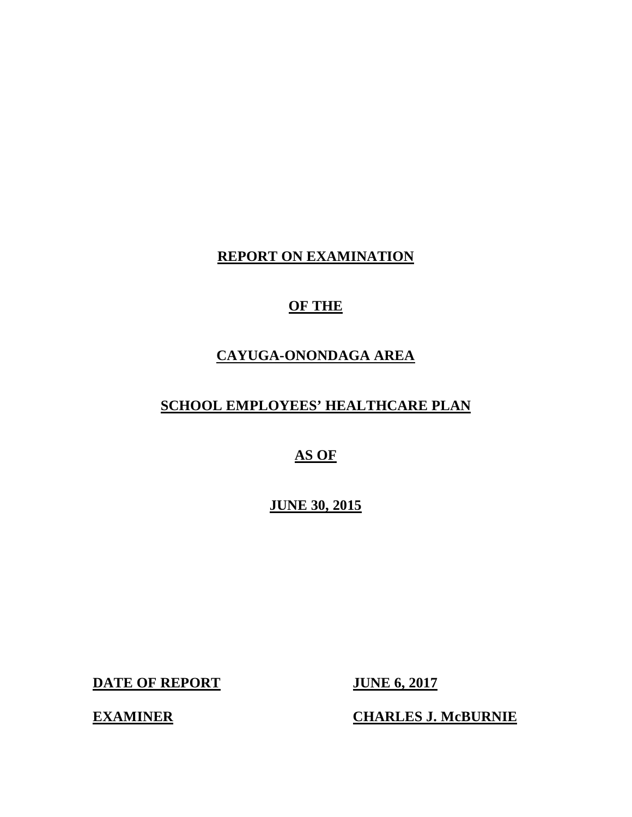## **REPORT ON EXAMINATION**

## **OF THE**

## **CAYUGA-ONONDAGA AREA**

## **SCHOOL EMPLOYEES' HEALTHCARE PLAN**

## **AS OF**

 **JUNE 30, 2015** 

**DATE OF REPORT JUNE 6, 2017** 

**EXAMINER** 

**CHARLES J. McBURNIE**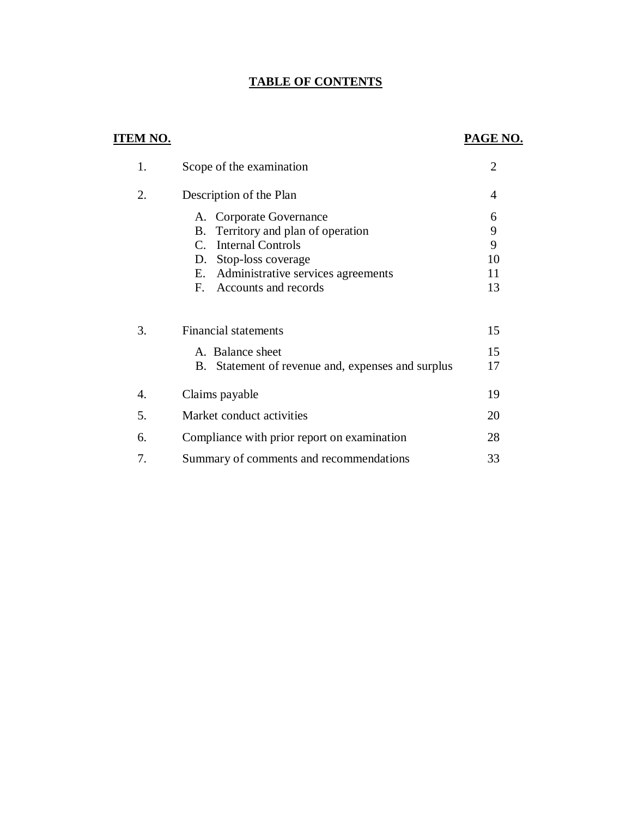## **TABLE OF CONTENTS**

## **ITEM NO. PAGE NO.**

| 1. | Scope of the examination                             | $\overline{2}$ |
|----|------------------------------------------------------|----------------|
| 2. | Description of the Plan                              | 4              |
|    | A. Corporate Governance                              | 6              |
|    | Territory and plan of operation<br>В.                | 9              |
|    | <b>Internal Controls</b><br>$C_{\cdot}$              | 9              |
|    | Stop-loss coverage<br>D.                             | 10             |
|    | Administrative services agreements<br>Е.             | 11             |
|    | Accounts and records<br>$F_{\cdot}$                  | 13             |
| 3. | <b>Financial statements</b>                          | 15             |
|    | A. Balance sheet                                     | 15             |
|    | Statement of revenue and, expenses and surplus<br>В. | 17             |
| 4. | Claims payable                                       | 19             |
| 5. | Market conduct activities                            | 20             |
| 6. | Compliance with prior report on examination          | 28             |
| 7. | Summary of comments and recommendations              | 33             |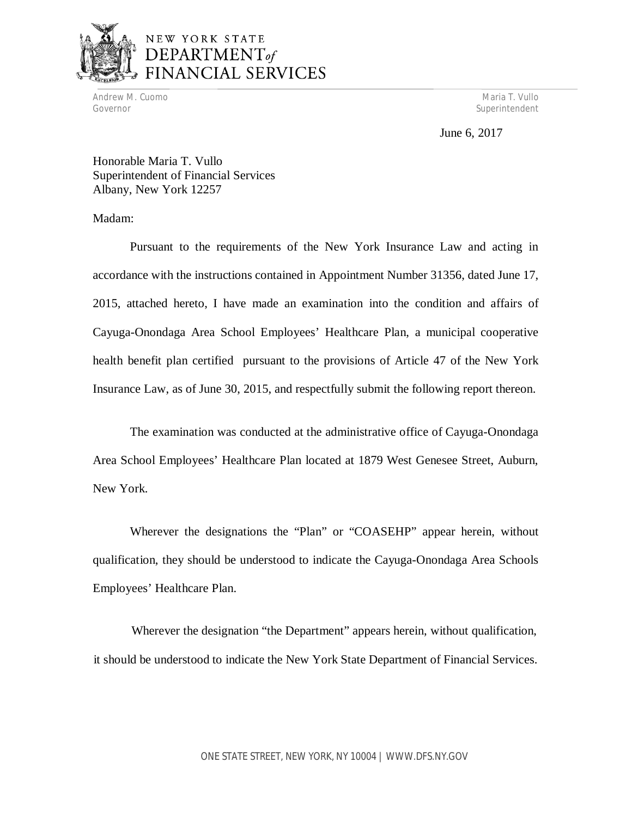

## NEW YORK STATE DEPARTMENT<sub>of</sub> **NCIAL SERVICES**

Andrew M. Cuomo National Andrew Maria T. Vullo National Andrew Maria T. Vullo National Andrew Maria T. Vullo Governor Superintendent Superintendent Superintendent Superintendent Superintendent Superintendent Superintendent

June 6, 2017

 Honorable Maria T. Vullo Superintendent of Financial Services Albany, New York 12257

Madam:

 Pursuant to the requirements of the New York Insurance Law and acting in accordance with the instructions contained in Appointment Number 31356, dated June 17, 2015, attached hereto, I have made an examination into the condition and affairs of Cayuga-Onondaga Area School Employees' Healthcare Plan, a municipal cooperative health benefit plan certified pursuant to the provisions of Article 47 of the New York Insurance Law, as of June 30, 2015, and respectfully submit the following report thereon.

 The examination was conducted at the administrative office of Cayuga-Onondaga Area School Employees' Healthcare Plan located at 1879 West Genesee Street, Auburn, New York.

 Wherever the designations the "Plan" or "COASEHP" appear herein, without qualification, they should be understood to indicate the Cayuga-Onondaga Area Schools Employees' Healthcare Plan.

 Wherever the designation "the Department" appears herein, without qualification, it should be understood to indicate the New York State Department of Financial Services.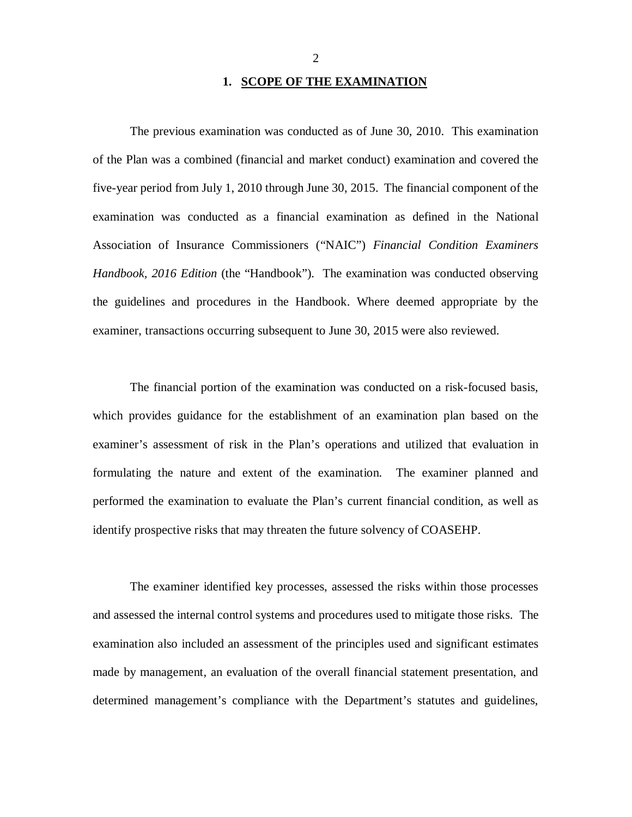## **1. SCOPE OF THE EXAMINATION**

 The previous examination was conducted as of June 30, 2010. This examination of the Plan was a combined (financial and market conduct) examination and covered the five-year period from July 1, 2010 through June 30, 2015. The financial component of the examination was conducted as a financial examination as defined in the National Association of Insurance Commissioners ("NAIC") *Financial Condition Examiners Handbook, 2016 Edition* (the "Handbook"). The examination was conducted observing the guidelines and procedures in the Handbook. Where deemed appropriate by the examiner, transactions occurring subsequent to June 30, 2015 were also reviewed.

 The financial portion of the examination was conducted on a risk-focused basis, which provides guidance for the establishment of an examination plan based on the examiner's assessment of risk in the Plan's operations and utilized that evaluation in formulating the nature and extent of the examination. The examiner planned and performed the examination to evaluate the Plan's current financial condition, as well as identify prospective risks that may threaten the future solvency of COASEHP.

 The examiner identified key processes, assessed the risks within those processes and assessed the internal control systems and procedures used to mitigate those risks. The examination also included an assessment of the principles used and significant estimates made by management, an evaluation of the overall financial statement presentation, and determined management's compliance with the Department's statutes and guidelines,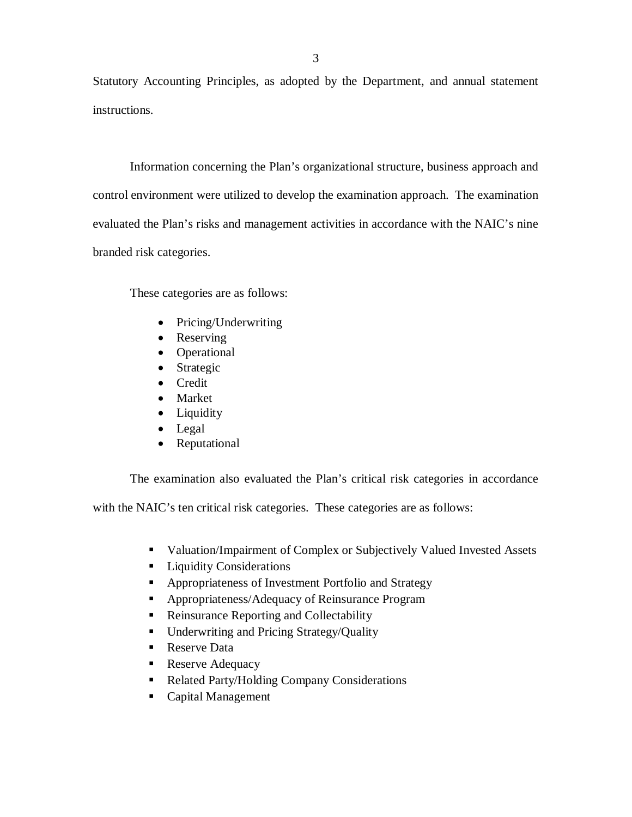Statutory Accounting Principles, as adopted by the Department, and annual statement instructions.

instructions.<br>Information concerning the Plan's organizational structure, business approach and control environment were utilized to develop the examination approach. The examination evaluated the Plan's risks and management activities in accordance with the NAIC's nine branded risk categories.

These categories are as follows:

- Pricing/Underwriting
- Reserving
- Operational
- Strategic
- Credit
- Market
- Liquidity
- Legal
- Reputational

The examination also evaluated the Plan's critical risk categories in accordance

with the NAIC's ten critical risk categories. These categories are as follows:

- **Valuation/Impairment of Complex or Subjectively Valued Invested Assets**
- **Liquidity Considerations**
- **Appropriateness of Investment Portfolio and Strategy**
- **Appropriateness/Adequacy of Reinsurance Program**
- **Reinsurance Reporting and Collectability**
- **Underwriting and Pricing Strategy/Quality**
- Reserve Data
- **Reserve Adequacy**
- Related Party/Holding Company Considerations
- Capital Management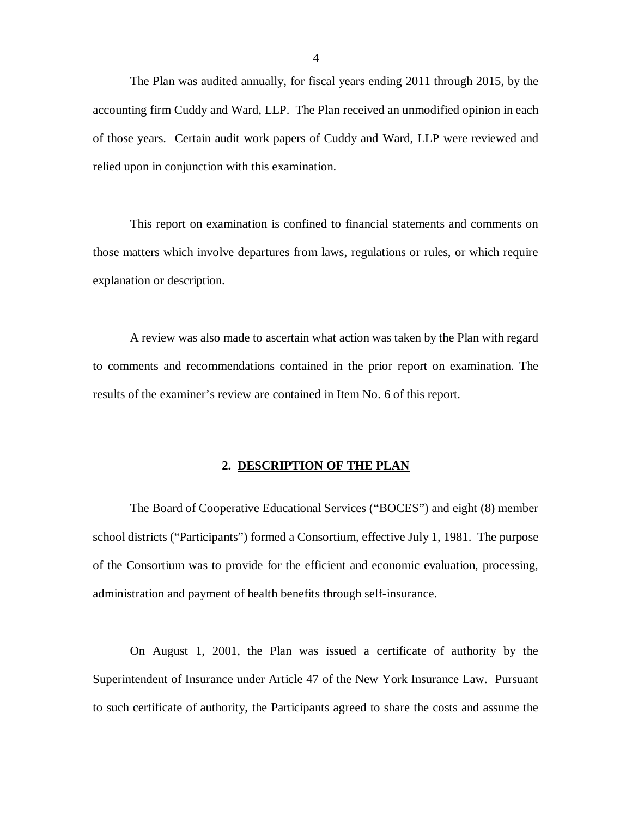The Plan was audited annually, for fiscal years ending 2011 through 2015, by the accounting firm Cuddy and Ward, LLP. The Plan received an unmodified opinion in each of those years. Certain audit work papers of Cuddy and Ward, LLP were reviewed and relied upon in conjunction with this examination.

 This report on examination is confined to financial statements and comments on those matters which involve departures from laws, regulations or rules, or which require explanation or description.

 A review was also made to ascertain what action was taken by the Plan with regard to comments and recommendations contained in the prior report on examination. The results of the examiner's review are contained in Item No. 6 of this report.

### **2. DESCRIPTION OF THE PLAN**

 The Board of Cooperative Educational Services ("BOCES") and eight (8) member school districts ("Participants") formed a Consortium, effective July 1, 1981. The purpose of the Consortium was to provide for the efficient and economic evaluation, processing, administration and payment of health benefits through self-insurance.

 On August 1, 2001, the Plan was issued a certificate of authority by the Superintendent of Insurance under Article 47 of the New York Insurance Law. Pursuant to such certificate of authority, the Participants agreed to share the costs and assume the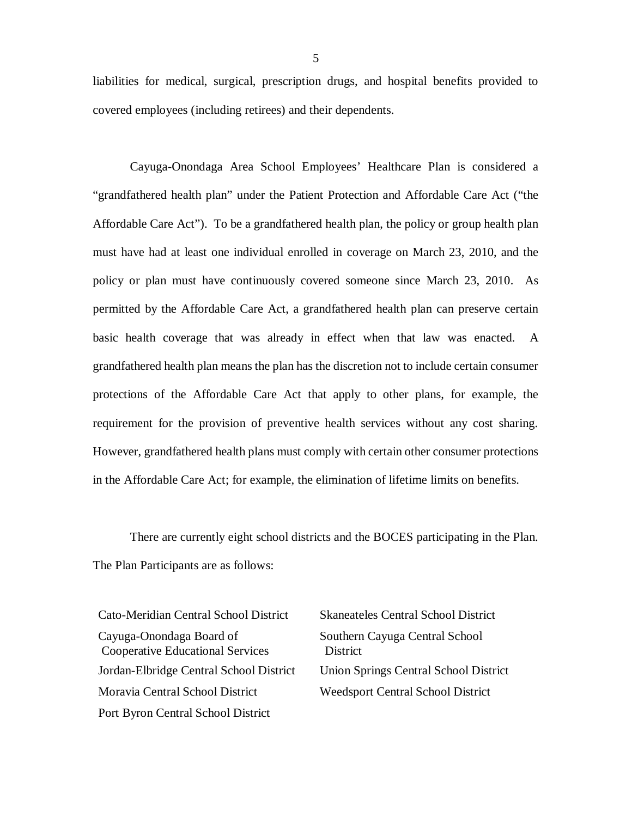liabilities for medical, surgical, prescription drugs, and hospital benefits provided to covered employees (including retirees) and their dependents.

 Cayuga-Onondaga Area School Employees' Healthcare Plan is considered a "grandfathered health plan" under the Patient Protection and Affordable Care Act ("the Affordable Care Act"). To be a grandfathered health plan, the policy or group health plan must have had at least one individual enrolled in coverage on March 23, 2010, and the policy or plan must have continuously covered someone since March 23, 2010. As permitted by the Affordable Care Act, a grandfathered health plan can preserve certain basic health coverage that was already in effect when that law was enacted. A grandfathered health plan means the plan has the discretion not to include certain consumer protections of the Affordable Care Act that apply to other plans, for example, the requirement for the provision of preventive health services without any cost sharing. However, grandfathered health plans must comply with certain other consumer protections in the Affordable Care Act; for example, the elimination of lifetime limits on benefits.

 There are currently eight school districts and the BOCES participating in the Plan. The Plan Participants are as follows:

| Cato-Meridian Central School District                               | <b>Skaneateles Central School Distri</b>   |
|---------------------------------------------------------------------|--------------------------------------------|
| Cayuga-Onondaga Board of<br><b>Cooperative Educational Services</b> | Southern Cayuga Central School<br>District |
| Jordan-Elbridge Central School District                             | Union Springs Central School Dis           |
| Moravia Central School District                                     | <b>Weedsport Central School Distric</b>    |
| Port Byron Central School District                                  |                                            |

Skaneateles Central School District District Union Springs Central School District Weedsport Central School District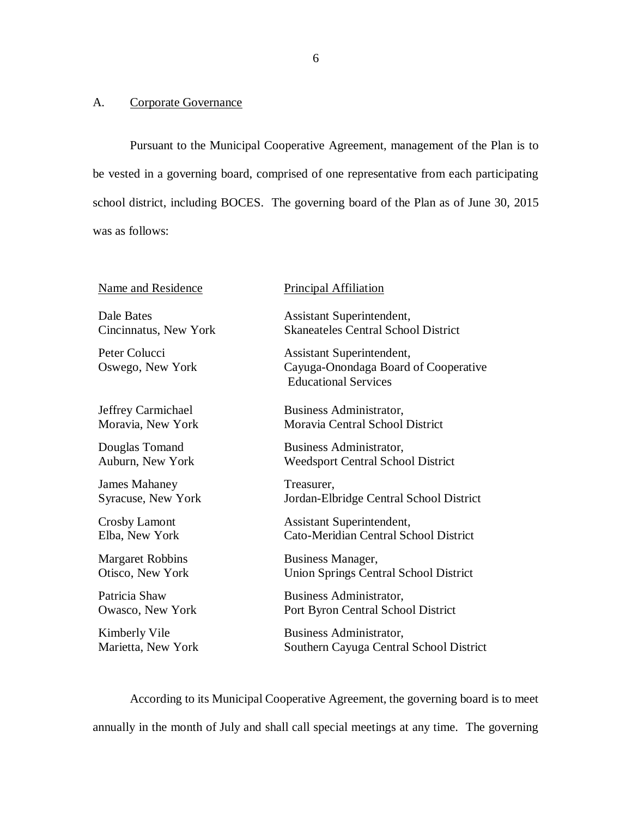### <span id="page-7-0"></span>A. Corporate Governance

 Pursuant to the Municipal Cooperative Agreement, management of the Plan is to be vested in a governing board, comprised of one representative from each participating school district, including BOCES. The governing board of the Plan as of June 30, 2015 was as follows:

| <b>Name and Residence</b>         | <b>Principal Affiliation</b>                                                                     |
|-----------------------------------|--------------------------------------------------------------------------------------------------|
| Dale Bates                        | Assistant Superintendent,                                                                        |
| Cincinnatus, New York             | <b>Skaneateles Central School District</b>                                                       |
| Peter Colucci<br>Oswego, New York | Assistant Superintendent,<br>Cayuga-Onondaga Board of Cooperative<br><b>Educational Services</b> |
| Jeffrey Carmichael                | Business Administrator,                                                                          |
| Moravia, New York                 | Moravia Central School District                                                                  |
| Douglas Tomand                    | Business Administrator,                                                                          |
| Auburn, New York                  | <b>Weedsport Central School District</b>                                                         |
| <b>James Mahaney</b>              | Treasurer,                                                                                       |
| <b>Syracuse, New York</b>         | Jordan-Elbridge Central School District                                                          |
| Crosby Lamont                     | Assistant Superintendent,                                                                        |
| Elba, New York                    | Cato-Meridian Central School District                                                            |
| <b>Margaret Robbins</b>           | <b>Business Manager,</b>                                                                         |
| Otisco, New York                  | <b>Union Springs Central School District</b>                                                     |
| Patricia Shaw                     | Business Administrator,                                                                          |
| Owasco, New York                  | Port Byron Central School District                                                               |
| Kimberly Vile                     | Business Administrator,                                                                          |
| Marietta, New York                | Southern Cayuga Central School District                                                          |

 According to its Municipal Cooperative Agreement, the governing board is to meet annually in the month of July and shall call special meetings at any time. The governing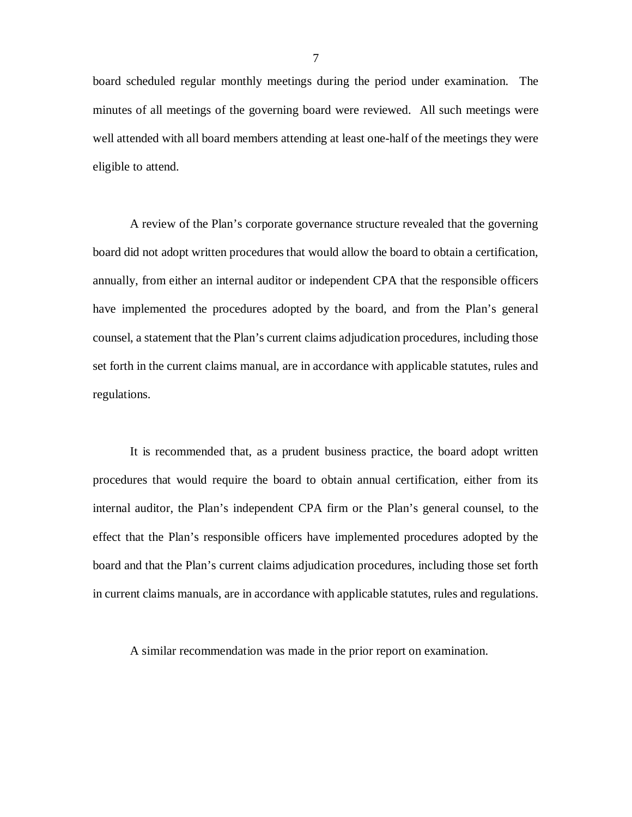board scheduled regular monthly meetings during the period under examination. The minutes of all meetings of the governing board were reviewed. All such meetings were well attended with all board members attending at least one-half of the meetings they were eligible to attend.

 A review of the Plan's corporate governance structure revealed that the governing board did not adopt written procedures that would allow the board to obtain a certification, annually, from either an internal auditor or independent CPA that the responsible officers have implemented the procedures adopted by the board, and from the Plan's general counsel, a statement that the Plan's current claims adjudication procedures, including those set forth in the current claims manual, are in accordance with applicable statutes, rules and regulations. regulations.<br>It is recommended that, as a prudent business practice, the board adopt written

 procedures that would require the board to obtain annual certification, either from its internal auditor, the Plan's independent CPA firm or the Plan's general counsel, to the effect that the Plan's responsible officers have implemented procedures adopted by the board and that the Plan's current claims adjudication procedures, including those set forth in current claims manuals, are in accordance with applicable statutes, rules and regulations.

A similar recommendation was made in the prior report on examination.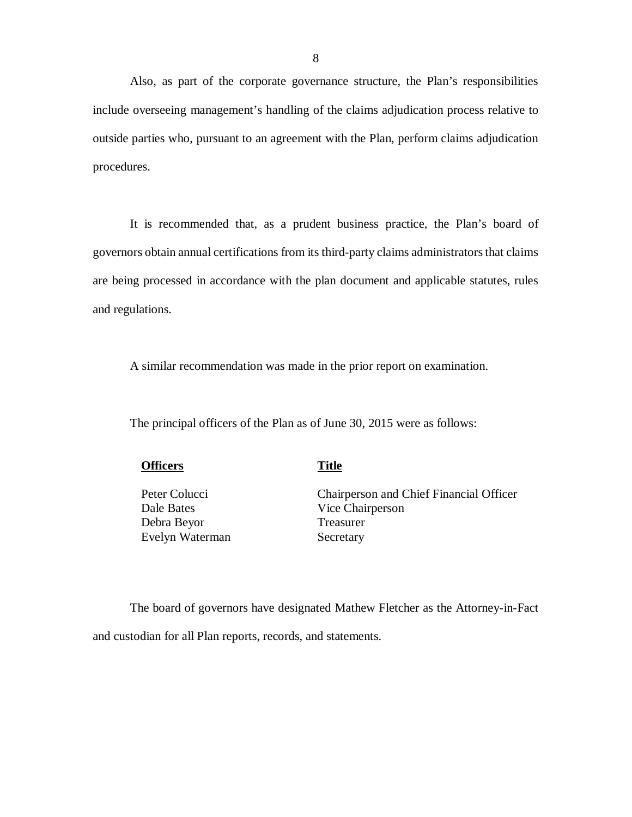Also, as part of the corporate governance structure, the Plan's responsibilities include overseeing management's handling of the claims adjudication process relative to outside parties who, pursuant to an agreement with the Plan, perform claims adjudication procedures.

procedures.<br>It is recommended that, as a prudent business practice, the Plan's board of governors obtain annual certifications from its third-party claims administrators that claims are being processed in accordance with the plan document and applicable statutes, rules and regulations. and regulations.<br>A similar recommendation was made in the prior report on examination.

The principal officers of the Plan as of June 30, 2015 were as follows:

**<u>S</u>** Title

Peter Colucci Dale Bates Debra Beyor Treasurer Evelyn Waterman Secretary

Chairperson and Chief Financial Officer Vice Chairperson

 The board of governors have designated Mathew Fletcher as the Attorney-in-Fact and custodian for all Plan reports, records, and statements.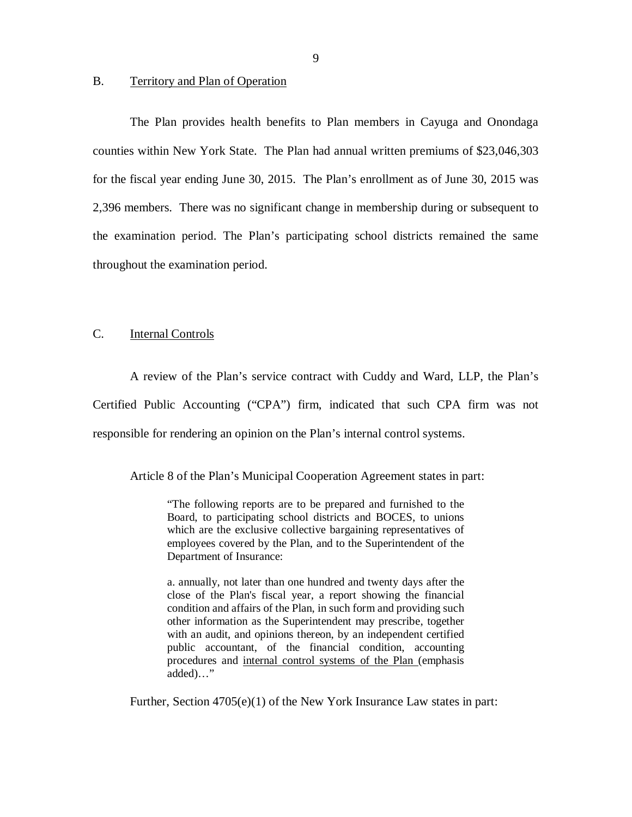## <span id="page-10-0"></span>B. Territory and Plan of Operation

 The Plan provides health benefits to Plan members in Cayuga and Onondaga counties within New York State. The Plan had annual written premiums of \$23,046,303 for the fiscal year ending June 30, 2015. The Plan's enrollment as of June 30, 2015 was 2,396 members. There was no significant change in membership during or subsequent to the examination period. The Plan's participating school districts remained the same throughout the examination period.

#### Internal Controls

 A review of the Plan's service contract with Cuddy and Ward, LLP, the Plan's Certified Public Accounting ("CPA") firm, indicated that such CPA firm was not responsible for rendering an opinion on the Plan's internal control systems.

Article 8 of the Plan's Municipal Cooperation Agreement states in part:

 "The following reports are to be prepared and furnished to the Board, to participating school districts and BOCES, to unions which are the exclusive collective bargaining representatives of employees covered by the Plan, and to the Superintendent of the Department of Insurance:

 a. annually, not later than one hundred and twenty days after the close of the Plan's fiscal year, a report showing the financial condition and affairs of the Plan, in such form and providing such other information as the Superintendent may prescribe, together with an audit, and opinions thereon, by an independent certified public accountant, of the financial condition, accounting procedures and internal control systems of the Plan (emphasis added)…"

Further, Section 4705(e)(1) of the New York Insurance Law states in part: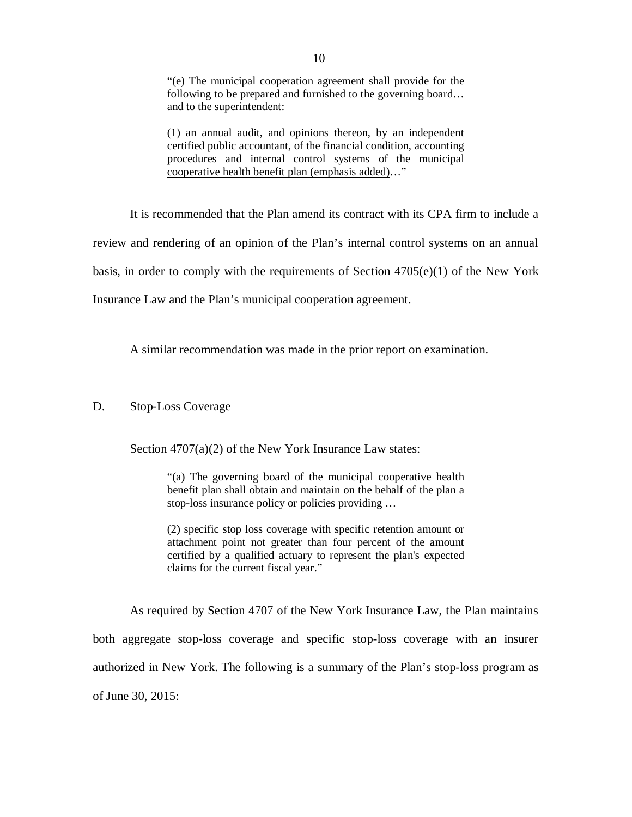<span id="page-11-0"></span> "(e) The municipal cooperation agreement shall provide for the following to be prepared and furnished to the governing board… and to the superintendent:

 (1) an annual audit, and opinions thereon, by an independent certified public accountant, of the financial condition, accounting procedures and internal control systems of the municipal cooperative health benefit plan (emphasis added)…"

 It is recommended that the Plan amend its contract with its CPA firm to include a review and rendering of an opinion of the Plan's internal control systems on an annual basis, in order to comply with the requirements of Section 4705(e)(1) of the New York Insurance Law and the Plan's municipal cooperation agreement.

A similar recommendation was made in the prior report on examination.

## D. Stop-Loss Coverage

Section 4707(a)(2) of the New York Insurance Law states:

 "(a) The governing board of the municipal cooperative health benefit plan shall obtain and maintain on the behalf of the plan a stop-loss insurance policy or policies providing …

 (2) specific stop loss coverage with specific retention amount or attachment point not greater than four percent of the amount certified by a qualified actuary to represent the plan's expected claims for the current fiscal year."

 As required by Section 4707 of the New York Insurance Law, the Plan maintains both aggregate stop-loss coverage and specific stop-loss coverage with an insurer authorized in New York. The following is a summary of the Plan's stop-loss program as of June 30, 2015: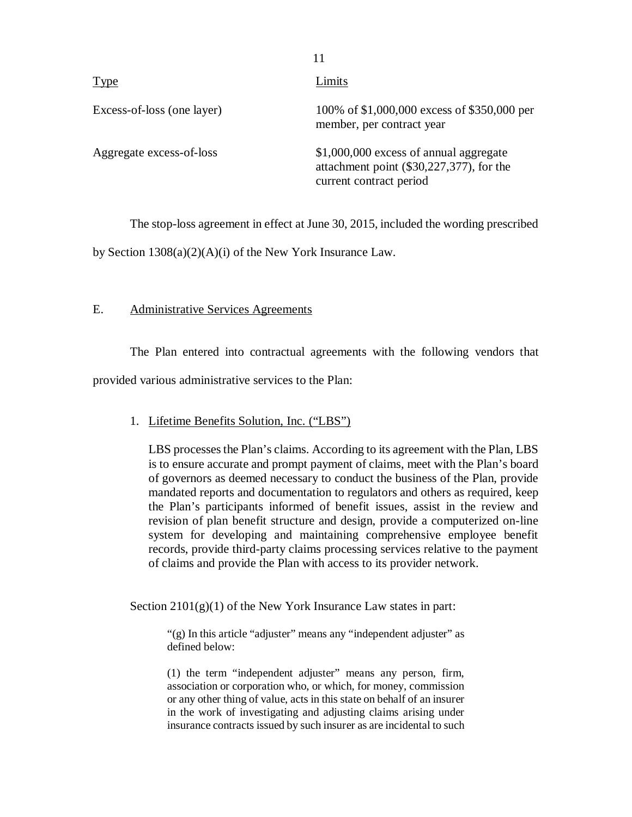| <u>Type</u>                | Limits                                                                                                        |
|----------------------------|---------------------------------------------------------------------------------------------------------------|
| Excess-of-loss (one layer) | 100% of \$1,000,000 excess of \$350,000 per<br>member, per contract year                                      |
| Aggregate excess-of-loss   | \$1,000,000 excess of annual aggregate<br>attachment point (\$30,227,377), for the<br>current contract period |

11

The stop-loss agreement in effect at June 30, 2015, included the wording prescribed

by Section 1308(a)(2)(A)(i) of the New York Insurance Law.

## E. Administrative Services Agreements

 The Plan entered into contractual agreements with the following vendors that provided various administrative services to the Plan:

## 1. Lifetime Benefits Solution, Inc. ("LBS")

 LBS processes the Plan's claims. According to its agreement with the Plan, LBS is to ensure accurate and prompt payment of claims, meet with the Plan's board of governors as deemed necessary to conduct the business of the Plan, provide mandated reports and documentation to regulators and others as required, keep the Plan's participants informed of benefit issues, assist in the review and revision of plan benefit structure and design, provide a computerized on-line system for developing and maintaining comprehensive employee benefit records, provide third-party claims processing services relative to the payment of claims and provide the Plan with access to its provider network.

Section  $2101(g)(1)$  of the New York Insurance Law states in part:

 "(g) In this article "adjuster" means any "independent adjuster" as defined below:

 (1) the term "independent adjuster" means any person, firm, association or corporation who, or which, for money, commission or any other thing of value, acts in this state on behalf of an insurer in the work of investigating and adjusting claims arising under insurance contracts issued by such insurer as are incidental to such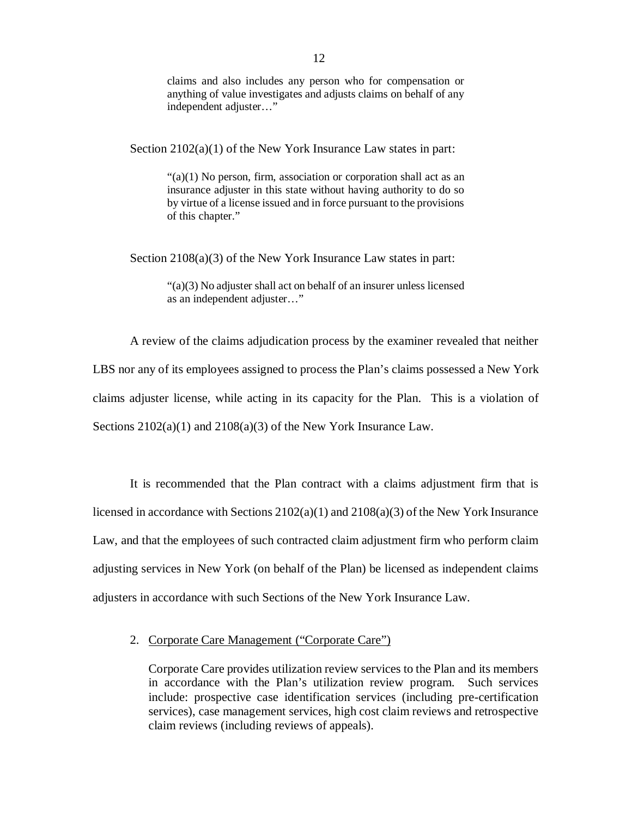claims and also includes any person who for compensation or anything of value investigates and adjusts claims on behalf of any independent adjuster…"

Section  $2102(a)(1)$  of the New York Insurance Law states in part:

 "(a)(1) No person, firm, association or corporation shall act as an insurance adjuster in this state without having authority to do so by virtue of a license issued and in force pursuant to the provisions of this chapter."

Section 2108(a)(3) of the New York Insurance Law states in part:

 "(a)(3) No adjuster shall act on behalf of an insurer unless licensed as an independent adjuster…"

 A review of the claims adjudication process by the examiner revealed that neither LBS nor any of its employees assigned to process the Plan's claims possessed a New York claims adjuster license, while acting in its capacity for the Plan. This is a violation of Sections  $2102(a)(1)$  and  $2108(a)(3)$  of the New York Insurance Law.

 It is recommended that the Plan contract with a claims adjustment firm that is licensed in accordance with Sections 2102(a)(1) and 2108(a)(3) of the New York Insurance Law, and that the employees of such contracted claim adjustment firm who perform claim adjusting services in New York (on behalf of the Plan) be licensed as independent claims adjusters in accordance with such Sections of the New York Insurance Law.

2. Corporate Care Management ("Corporate Care")

 Corporate Care provides utilization review services to the Plan and its members in accordance with the Plan's utilization review program. Such services include: prospective case identification services (including pre-certification services), case management services, high cost claim reviews and retrospective claim reviews (including reviews of appeals).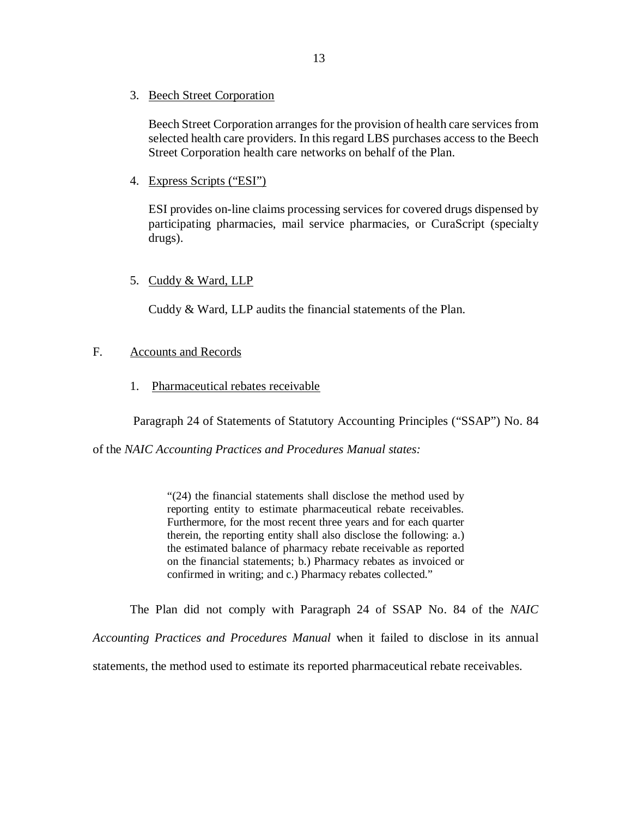<span id="page-14-0"></span>3. Beech Street Corporation

 Beech Street Corporation arranges for the provision of health care services from selected health care providers. In this regard LBS purchases access to the Beech Street Corporation health care networks on behalf of the Plan.

4. Express Scripts ("ESI")

 ESI provides on-line claims processing services for covered drugs dispensed by participating pharmacies, mail service pharmacies, or CuraScript (specialty drugs).

## 5. Cuddy & Ward, LLP

Cuddy & Ward, LLP audits the financial statements of the Plan.

## F. Accounts and Records

1. Pharmaceutical rebates receivable

Paragraph 24 of Statements of Statutory Accounting Principles ("SSAP") No. 84

of the *NAIC Accounting Practices and Procedures Manual states:* 

 "(24) the financial statements shall disclose the method used by reporting entity to estimate pharmaceutical rebate receivables. Furthermore, for the most recent three years and for each quarter therein, the reporting entity shall also disclose the following: a.) the estimated balance of pharmacy rebate receivable as reported on the financial statements; b.) Pharmacy rebates as invoiced or confirmed in writing; and c.) Pharmacy rebates collected."

The Plan did not comply with Paragraph 24 of SSAP No. 84 of the *NAIC* 

*Accounting Practices and Procedures Manual* when it failed to disclose in its annual

statements, the method used to estimate its reported pharmaceutical rebate receivables.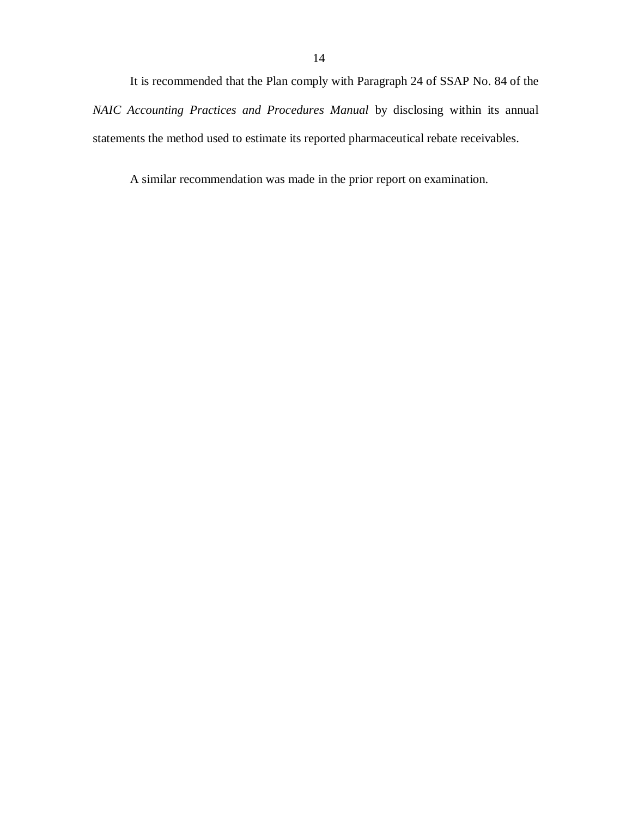It is recommended that the Plan comply with Paragraph 24 of SSAP No. 84 of the *NAIC Accounting Practices and Procedures Manual* by disclosing within its annual statements the method used to estimate its reported pharmaceutical rebate receivables.

A similar recommendation was made in the prior report on examination.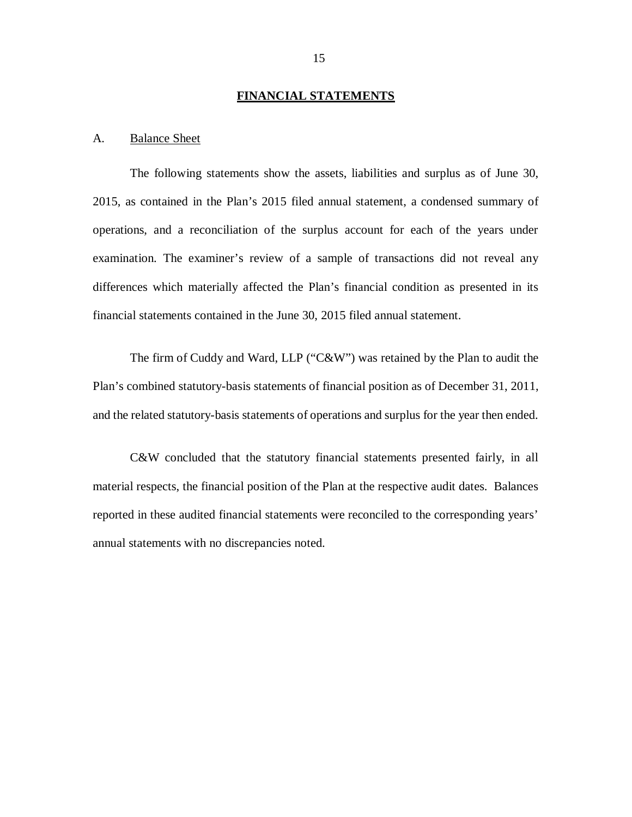#### **FINANCIAL STATEMENTS**

### <span id="page-16-0"></span>A. Balance Sheet

 The following statements show the assets, liabilities and surplus as of June 30, 2015, as contained in the Plan's 2015 filed annual statement, a condensed summary of operations, and a reconciliation of the surplus account for each of the years under examination. The examiner's review of a sample of transactions did not reveal any differences which materially affected the Plan's financial condition as presented in its financial statements contained in the June 30, 2015 filed annual statement.

 The firm of Cuddy and Ward, LLP ("C&W") was retained by the Plan to audit the Plan's combined statutory-basis statements of financial position as of December 31, 2011, and the related statutory-basis statements of operations and surplus for the year then ended.

 C&W concluded that the statutory financial statements presented fairly, in all material respects, the financial position of the Plan at the respective audit dates. Balances reported in these audited financial statements were reconciled to the corresponding years' annual statements with no discrepancies noted.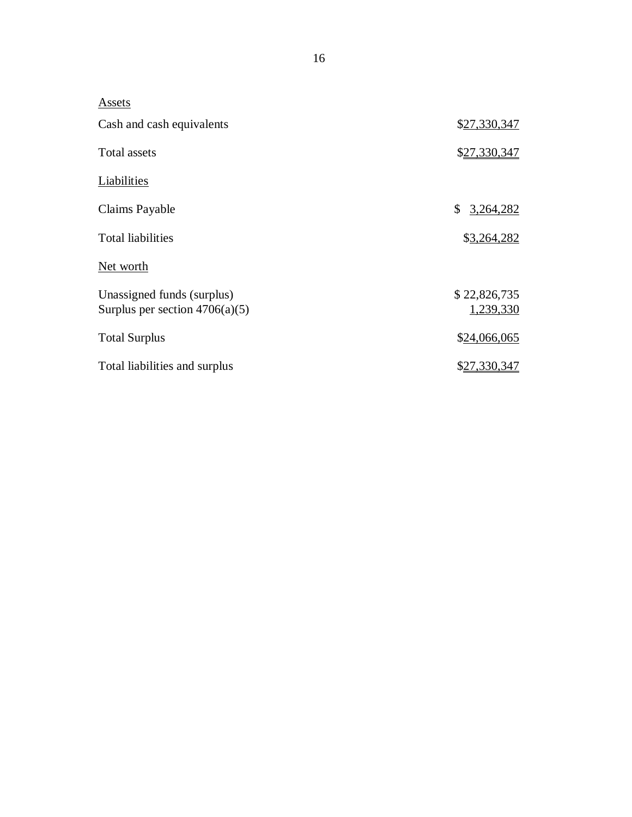| Assets                                                         |                           |
|----------------------------------------------------------------|---------------------------|
| Cash and cash equivalents                                      | \$27,330,347              |
| <b>Total assets</b>                                            | \$27,330,347              |
| Liabilities                                                    |                           |
| Claims Payable                                                 | \$<br>3,264,282           |
| <b>Total liabilities</b>                                       | \$3,264,282               |
| Net worth                                                      |                           |
| Unassigned funds (surplus)<br>Surplus per section $4706(a)(5)$ | \$22,826,735<br>1,239,330 |
| <b>Total Surplus</b>                                           | \$24,066,065              |
| Total liabilities and surplus                                  | <u>\$27,330,347</u>       |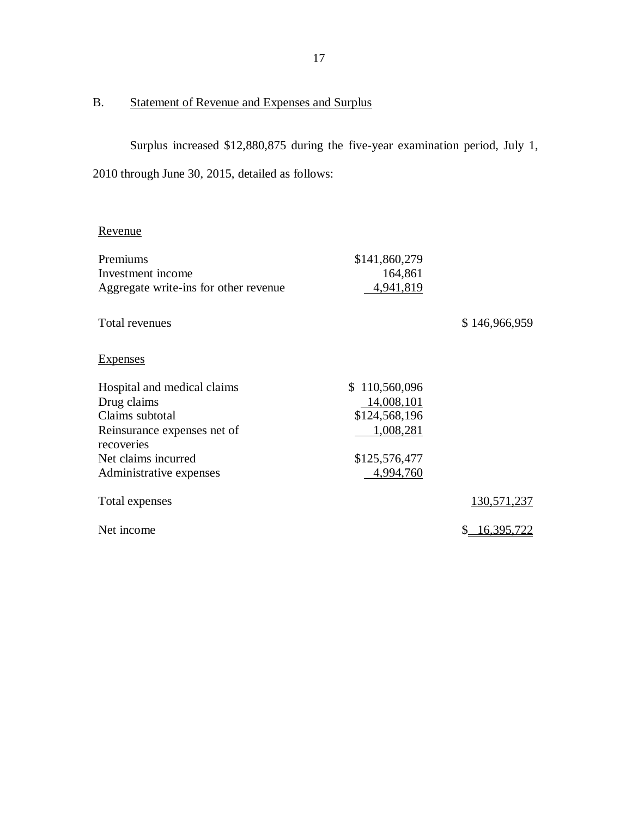#### <span id="page-18-0"></span> $B.$ Statement of Revenue and Expenses and Surplus

 Surplus increased \$12,880,875 during the five-year examination period, July 1, 2010 through June 30, 2015, detailed as follows:

## Revenue

| \$141,860,279 |                  |
|---------------|------------------|
| 164,861       |                  |
| 4,941,819     |                  |
|               |                  |
|               | \$146,966,959    |
|               |                  |
|               |                  |
|               |                  |
| \$110,560,096 |                  |
| 14,008,101    |                  |
| \$124,568,196 |                  |
| 1,008,281     |                  |
|               |                  |
| \$125,576,477 |                  |
| 4,994,760     |                  |
|               | 130,571,237      |
|               |                  |
|               | 16,395,722<br>\$ |
|               |                  |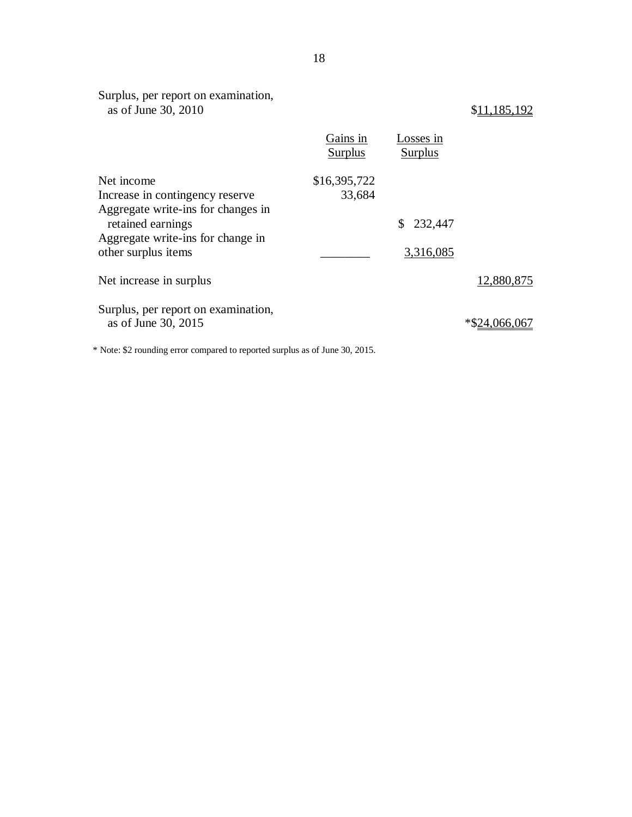| Surplus, per report on examination,<br>as of June 30, 2010 |                            |                             | \$11,185,192  |
|------------------------------------------------------------|----------------------------|-----------------------------|---------------|
|                                                            | Gains in<br><b>Surplus</b> | Losses in<br><b>Surplus</b> |               |
| Net income                                                 | \$16,395,722               |                             |               |
| Increase in contingency reserve                            | 33,684                     |                             |               |
| Aggregate write-ins for changes in                         |                            |                             |               |
| retained earnings                                          |                            | \$232,447                   |               |
| Aggregate write-ins for change in                          |                            |                             |               |
| other surplus items                                        |                            | 3,316,085                   |               |
| Net increase in surplus                                    |                            |                             | 12,880,875    |
| Surplus, per report on examination,<br>as of June 30, 2015 |                            |                             | *\$24,066,067 |
|                                                            |                            |                             |               |

\* Note: \$2 rounding error compared to reported surplus as of June 30, 2015.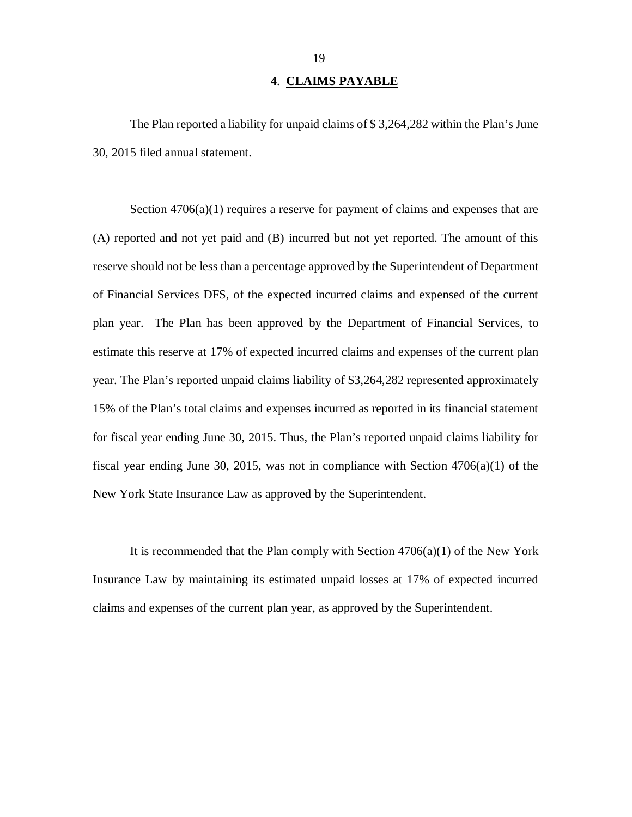## **4**. **CLAIMS PAYABLE**

<span id="page-20-0"></span> The Plan reported a liability for unpaid claims of \$ 3,264,282 within the Plan's June 30, 2015 filed annual statement.

 Section 4706(a)(1) requires a reserve for payment of claims and expenses that are (A) reported and not yet paid and (B) incurred but not yet reported. The amount of this reserve should not be less than a percentage approved by the Superintendent of Department of Financial Services DFS, of the expected incurred claims and expensed of the current plan year. The Plan has been approved by the Department of Financial Services, to estimate this reserve at 17% of expected incurred claims and expenses of the current plan year. The Plan's reported unpaid claims liability of \$3,264,282 represented approximately 15% of the Plan's total claims and expenses incurred as reported in its financial statement for fiscal year ending June 30, 2015. Thus, the Plan's reported unpaid claims liability for fiscal year ending June 30, 2015, was not in compliance with Section 4706(a)(1) of the New York State Insurance Law as approved by the Superintendent.

 It is recommended that the Plan comply with Section 4706(a)(1) of the New York Insurance Law by maintaining its estimated unpaid losses at 17% of expected incurred claims and expenses of the current plan year, as approved by the Superintendent.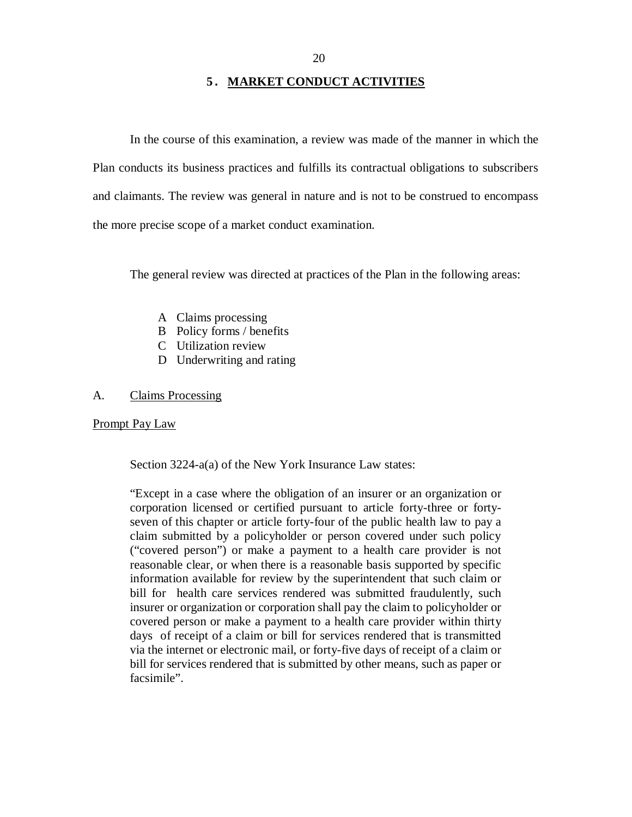## **5. MARKET CONDUCT ACTIVITIES**

<span id="page-21-0"></span> In the course of this examination, a review was made of the manner in which the Plan conducts its business practices and fulfills its contractual obligations to subscribers and claimants. The review was general in nature and is not to be construed to encompass the more precise scope of a market conduct examination.

The general review was directed at practices of the Plan in the following areas:

- A Claims processing
- B Policy forms / benefits
- C Utilization review
- D Underwriting and rating

#### $\mathbf{A}$ Claims Processing

## Prompt Pay Law

Section 3224-a(a) of the New York Insurance Law states:

 "Except in a case where the obligation of an insurer or an organization or corporation licensed or certified pursuant to article forty-three or forty- seven of this chapter or article forty-four of the public health law to pay a claim submitted by a policyholder or person covered under such policy ("covered person") or make a payment to a health care provider is not reasonable clear, or when there is a reasonable basis supported by specific information available for review by the superintendent that such claim or bill for health care services rendered was submitted fraudulently, such insurer or organization or corporation shall pay the claim to policyholder or covered person or make a payment to a health care provider within thirty days of receipt of a claim or bill for services rendered that is transmitted via the internet or electronic mail, or forty-five days of receipt of a claim or bill for services rendered that is submitted by other means, such as paper or facsimile".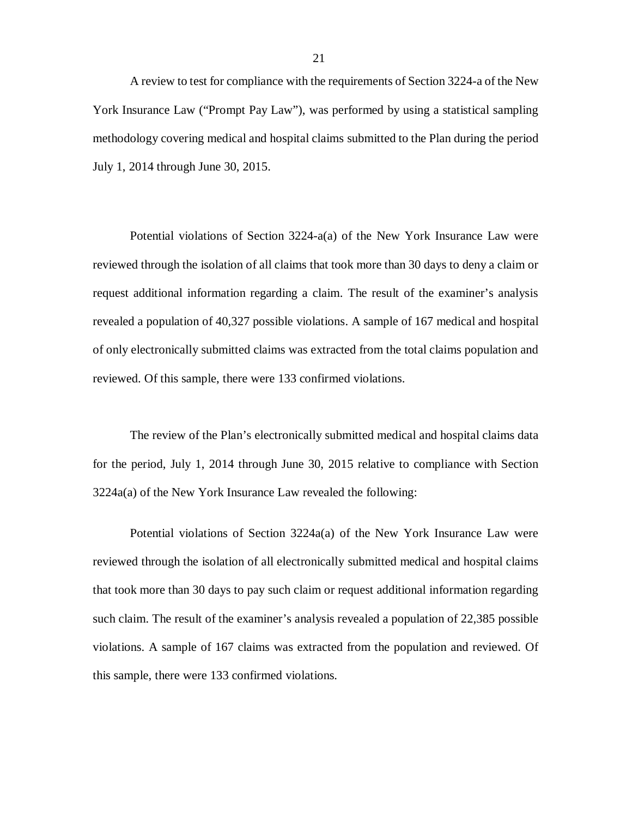A review to test for compliance with the requirements of Section 3224-a of the New York Insurance Law ("Prompt Pay Law"), was performed by using a statistical sampling methodology covering medical and hospital claims submitted to the Plan during the period July 1, 2014 through June 30, 2015.

 Potential violations of Section 3224-a(a) of the New York Insurance Law were reviewed through the isolation of all claims that took more than 30 days to deny a claim or request additional information regarding a claim. The result of the examiner's analysis revealed a population of 40,327 possible violations. A sample of 167 medical and hospital of only electronically submitted claims was extracted from the total claims population and reviewed. Of this sample, there were 133 confirmed violations.

 The review of the Plan's electronically submitted medical and hospital claims data for the period, July 1, 2014 through June 30, 2015 relative to compliance with Section 3224a(a) of the New York Insurance Law revealed the following:

 Potential violations of Section 3224a(a) of the New York Insurance Law were reviewed through the isolation of all electronically submitted medical and hospital claims that took more than 30 days to pay such claim or request additional information regarding such claim. The result of the examiner's analysis revealed a population of 22,385 possible violations. A sample of 167 claims was extracted from the population and reviewed. Of this sample, there were 133 confirmed violations.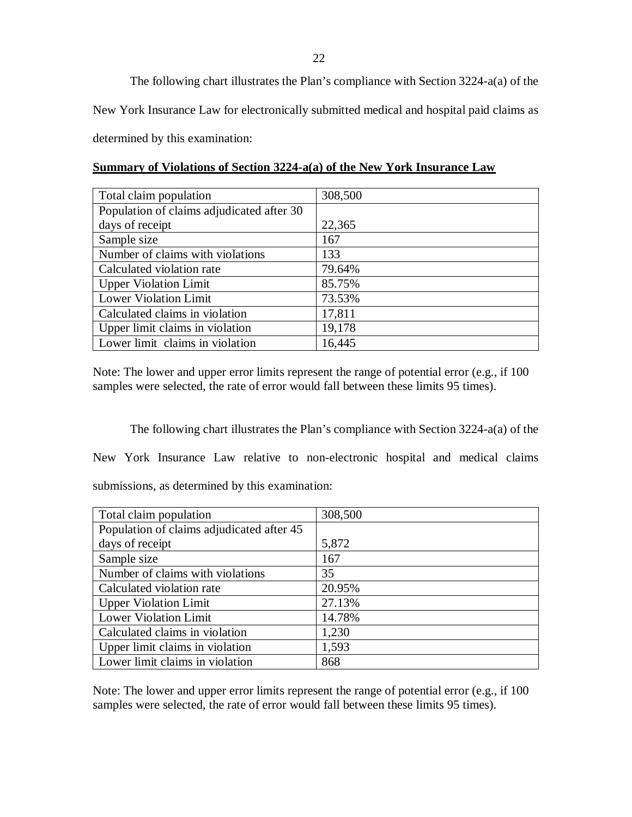The following chart illustrates the Plan's compliance with Section 3224-a(a) of the New York Insurance Law for electronically submitted medical and hospital paid claims as determined by this examination:

|  | Summary of Violations of Section 3224-a(a) of the New York Insurance Law |
|--|--------------------------------------------------------------------------|
|  |                                                                          |

| Total claim population                    | 308,500 |
|-------------------------------------------|---------|
| Population of claims adjudicated after 30 |         |
| days of receipt                           | 22,365  |
| Sample size                               | 167     |
| Number of claims with violations          | 133     |
| Calculated violation rate                 | 79.64%  |
| <b>Upper Violation Limit</b>              | 85.75%  |
| <b>Lower Violation Limit</b>              | 73.53%  |
| Calculated claims in violation            | 17,811  |
| Upper limit claims in violation           | 19,178  |
| Lower limit claims in violation           | 16,445  |

 Note: The lower and upper error limits represent the range of potential error (e.g., if 100 samples were selected, the rate of error would fall between these limits 95 times).

 The following chart illustrates the Plan's compliance with Section 3224-a(a) of the New York Insurance Law relative to non-electronic hospital and medical claims submissions, as determined by this examination:

| Total claim population                    | 308,500 |
|-------------------------------------------|---------|
| Population of claims adjudicated after 45 |         |
| days of receipt                           | 5,872   |
| Sample size                               | 167     |
| Number of claims with violations          | 35      |
| Calculated violation rate                 | 20.95%  |
| <b>Upper Violation Limit</b>              | 27.13%  |
| <b>Lower Violation Limit</b>              | 14.78%  |
| Calculated claims in violation            | 1,230   |
| Upper limit claims in violation           | 1,593   |
| Lower limit claims in violation           | 868     |

 Note: The lower and upper error limits represent the range of potential error (e.g., if 100 samples were selected, the rate of error would fall between these limits 95 times).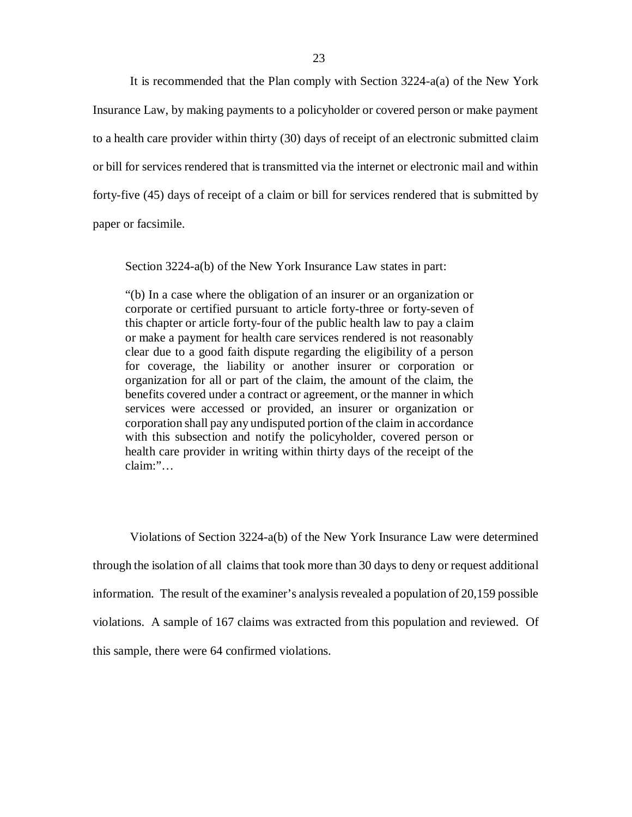It is recommended that the Plan comply with Section 3224-a(a) of the New York Insurance Law, by making payments to a policyholder or covered person or make payment to a health care provider within thirty (30) days of receipt of an electronic submitted claim or bill for services rendered that is transmitted via the internet or electronic mail and within forty-five (45) days of receipt of a claim or bill for services rendered that is submitted by paper or facsimile.

Section 3224-a(b) of the New York Insurance Law states in part:

 "(b) In a case where the obligation of an insurer or an organization or corporate or certified pursuant to article forty-three or forty-seven of this chapter or article forty-four of the public health law to pay a claim or make a payment for health care services rendered is not reasonably clear due to a good faith dispute regarding the eligibility of a person for coverage, the liability or another insurer or corporation or organization for all or part of the claim, the amount of the claim, the benefits covered under a contract or agreement, or the manner in which services were accessed or provided, an insurer or organization or corporation shall pay any undisputed portion of the claim in accordance with this subsection and notify the policyholder, covered person or health care provider in writing within thirty days of the receipt of the  $claim:$ "...

claim:"...<br>Violations of Section 3224-a(b) of the New York Insurance Law were determined through the isolation of all claims that took more than 30 days to deny or request additional information. The result of the examiner's analysis revealed a population of 20,159 possible violations. A sample of 167 claims was extracted from this population and reviewed. Of this sample, there were 64 confirmed violations.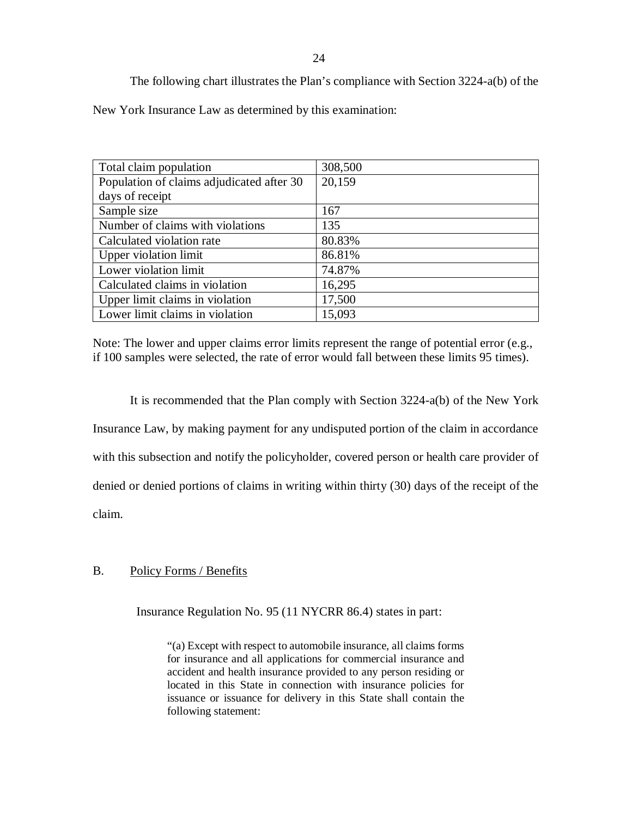| Total claim population                    | 308,500 |
|-------------------------------------------|---------|
| Population of claims adjudicated after 30 | 20,159  |
| days of receipt                           |         |
| Sample size                               | 167     |
| Number of claims with violations          | 135     |
| Calculated violation rate                 | 80.83%  |
| <b>Upper violation limit</b>              | 86.81%  |
| Lower violation limit                     | 74.87%  |
| Calculated claims in violation            | 16,295  |
| Upper limit claims in violation           | 17,500  |
| Lower limit claims in violation           | 15,093  |

 Note: The lower and upper claims error limits represent the range of potential error (e.g., if 100 samples were selected, the rate of error would fall between these limits 95 times).

 It is recommended that the Plan comply with Section 3224-a(b) of the New York Insurance Law, by making payment for any undisputed portion of the claim in accordance with this subsection and notify the policyholder, covered person or health care provider of denied or denied portions of claims in writing within thirty (30) days of the receipt of the claim.

#### $B<sub>1</sub>$ Policy Forms / Benefits

Insurance Regulation No. 95 (11 NYCRR 86.4) states in part:

 "(a) Except with respect to automobile insurance, all claims forms for insurance and all applications for commercial insurance and accident and health insurance provided to any person residing or located in this State in connection with insurance policies for issuance or issuance for delivery in this State shall contain the following statement: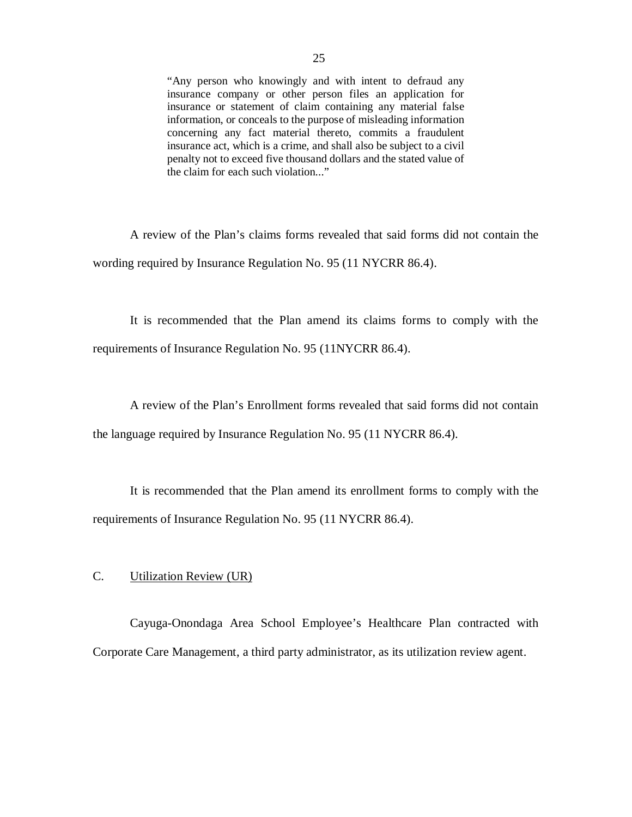"Any person who knowingly and with intent to defraud any insurance company or other person files an application for information, or conceals to the purpose of misleading information concerning any fact material thereto, commits a fraudulent insurance act, which is a crime, and shall also be subject to a civil penalty not to exceed five thousand dollars and the stated value of the claim for each such violation..." insurance or statement of claim containing any material false

 A review of the Plan's claims forms revealed that said forms did not contain the wording required by Insurance Regulation No. 95 (11 NYCRR 86.4).

 It is recommended that the Plan amend its claims forms to comply with the requirements of Insurance Regulation No. 95 (11NYCRR 86.4).

 A review of the Plan's Enrollment forms revealed that said forms did not contain the language required by Insurance Regulation No. 95 (11 NYCRR 86.4).

 It is recommended that the Plan amend its enrollment forms to comply with the requirements of Insurance Regulation No. 95 (11 NYCRR 86.4).

## C. Utilization Review (UR)

 Cayuga-Onondaga Area School Employee's Healthcare Plan contracted with Corporate Care Management, a third party administrator, as its utilization review agent.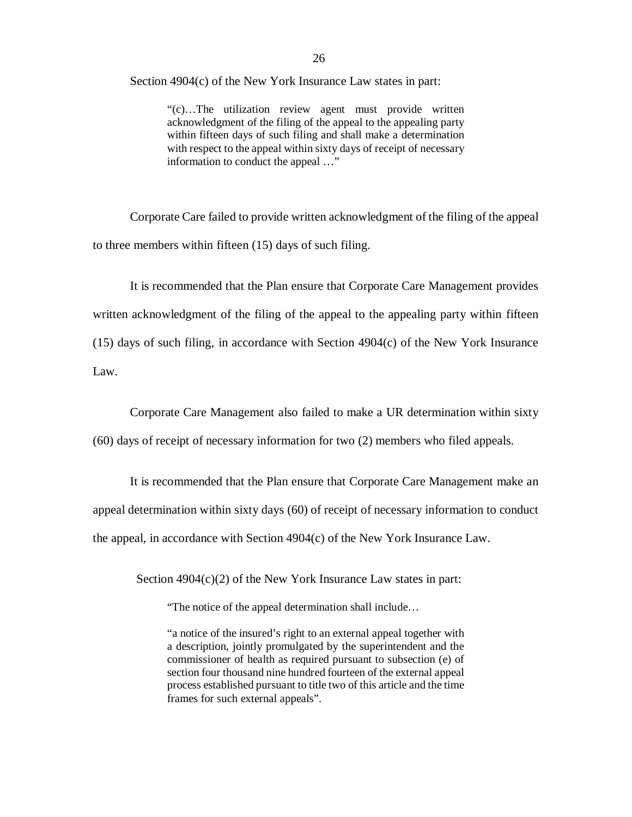Section 4904(c) of the New York Insurance Law states in part:

 "(c)…The utilization review agent must provide written acknowledgment of the filing of the appeal to the appealing party within fifteen days of such filing and shall make a determination with respect to the appeal within sixty days of receipt of necessary information to conduct the appeal …"

 Corporate Care failed to provide written acknowledgment of the filing of the appeal to three members within fifteen (15) days of such filing.

 It is recommended that the Plan ensure that Corporate Care Management provides written acknowledgment of the filing of the appeal to the appealing party within fifteen (15) days of such filing, in accordance with Section 4904(c) of the New York Insurance Law.

Law. Corporate Care Management also failed to make a UR determination within sixty

(60) days of receipt of necessary information for two (2) members who filed appeals.

 It is recommended that the Plan ensure that Corporate Care Management make an appeal determination within sixty days (60) of receipt of necessary information to conduct the appeal, in accordance with Section 4904(c) of the New York Insurance Law.

Section 4904(c)(2) of the New York Insurance Law states in part:

"The notice of the appeal determination shall include…

 "a notice of the insured's right to an external appeal together with a description, jointly promulgated by the superintendent and the commissioner of health as required pursuant to subsection (e) of section four thousand nine hundred fourteen of the external appeal process established pursuant to title two of this article and the time frames for such external appeals".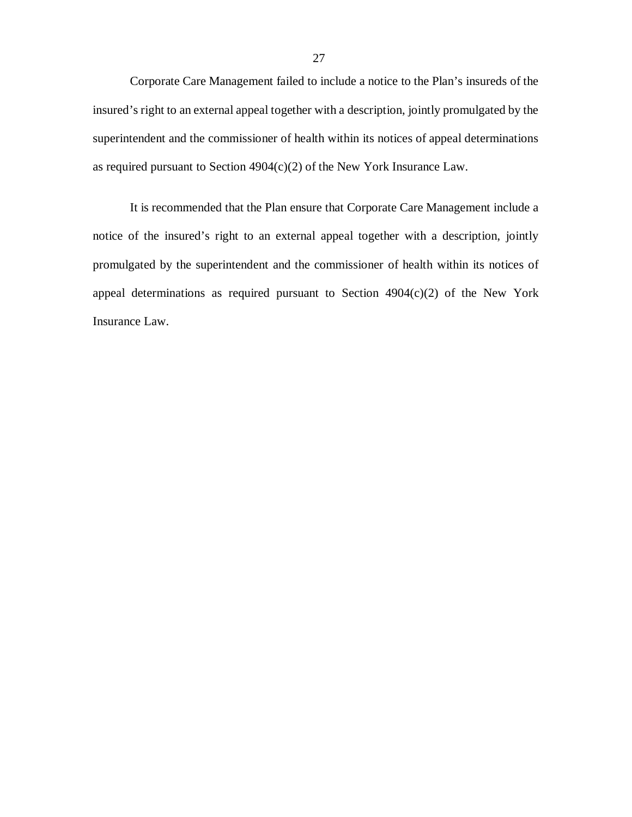Corporate Care Management failed to include a notice to the Plan's insureds of the insured's right to an external appeal together with a description, jointly promulgated by the superintendent and the commissioner of health within its notices of appeal determinations as required pursuant to Section 4904(c)(2) of the New York Insurance Law.

 It is recommended that the Plan ensure that Corporate Care Management include a notice of the insured's right to an external appeal together with a description, jointly promulgated by the superintendent and the commissioner of health within its notices of appeal determinations as required pursuant to Section 4904(c)(2) of the New York Insurance Law.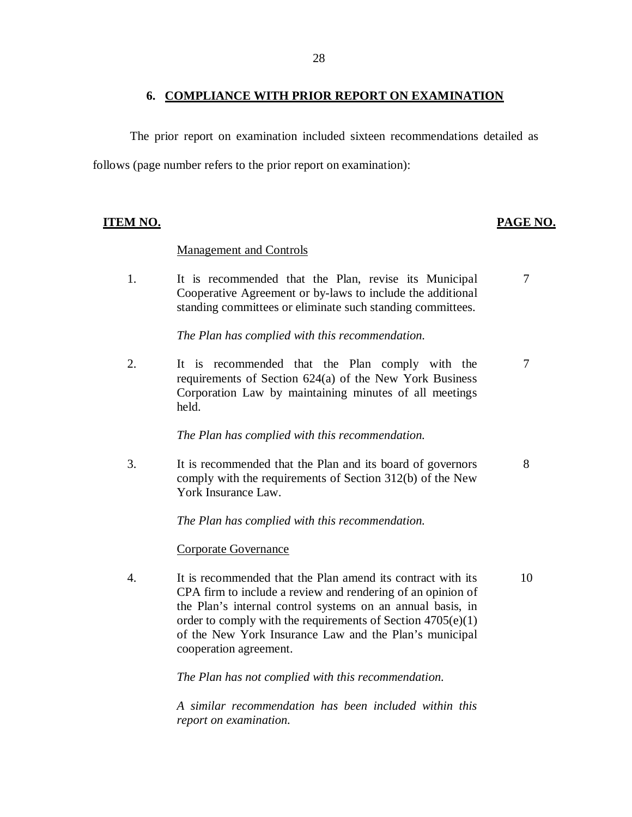## **6. COMPLIANCE WITH PRIOR REPORT ON EXAMINATION**

<span id="page-29-0"></span> follows (page number refers to the prior report on examination): The prior report on examination included sixteen recommendations detailed as

## **ITEM NO. PAGE NO.**

## Management and Controls

 $1<sup>1</sup>$  Cooperative Agreement or by-laws to include the additional standing committees or eliminate such standing committees. It is recommended that the Plan, revise its Municipal 7

 *The Plan has complied with this recommendation.* 

 $2.$  requirements of Section 624(a) of the New York Business Corporation Law by maintaining minutes of all meetings It is recommended that the Plan comply with the 7 held.

 *The Plan has complied with this recommendation.* 

 $3.$  comply with the requirements of Section 312(b) of the New York Insurance Law. It is recommended that the Plan and its board of governors 8

 *The Plan has complied with this recommendation.* 

## Corporate Governance

 $\overline{4}$ . CPA firm to include a review and rendering of an opinion of the Plan's internal control systems on an annual basis, in order to comply with the requirements of Section 4705(e)(1) of the New York Insurance Law and the Plan's municipal cooperation agreement. It is recommended that the Plan amend its contract with its 10

 *The Plan has not complied with this recommendation.* 

 *A similar recommendation has been included within this report on examination.*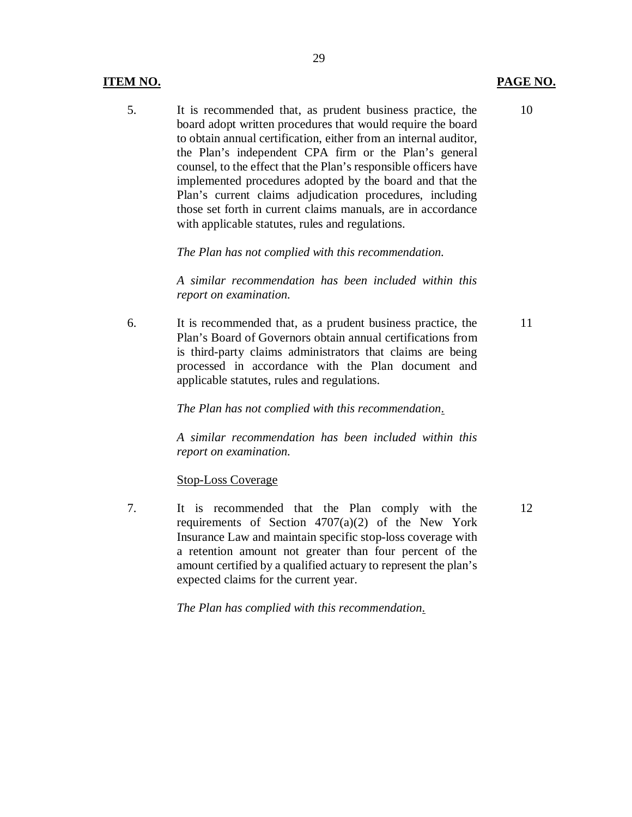## **ITEM NO.**

 $5<sub>1</sub>$  board adopt written procedures that would require the board to obtain annual certification, either from an internal auditor, the Plan's independent CPA firm or the Plan's general counsel, to the effect that the Plan's responsible officers have implemented procedures adopted by the board and that the Plan's current claims adjudication procedures, including those set forth in current claims manuals, are in accordance with applicable statutes, rules and regulations. It is recommended that, as prudent business practice, the

29

 *The Plan has not complied with this recommendation.* 

 *A similar recommendation has been included within this report on examination.* 

6. Plan's Board of Governors obtain annual certifications from is third-party claims administrators that claims are being processed in accordance with the Plan document and applicable statutes, rules and regulations. It is recommended that, as a prudent business practice, the

 *The Plan has not complied with this recommendation.* 

 *A similar recommendation has been included within this report on examination.* 

Stop-Loss Coverage

 $7.$  requirements of Section 4707(a)(2) of the New York Insurance Law and maintain specific stop-loss coverage with a retention amount not greater than four percent of the amount certified by a qualified actuary to represent the plan's expected claims for the current year. It is recommended that the Plan comply with the

 *The Plan has complied with this recommendation.* 

10

11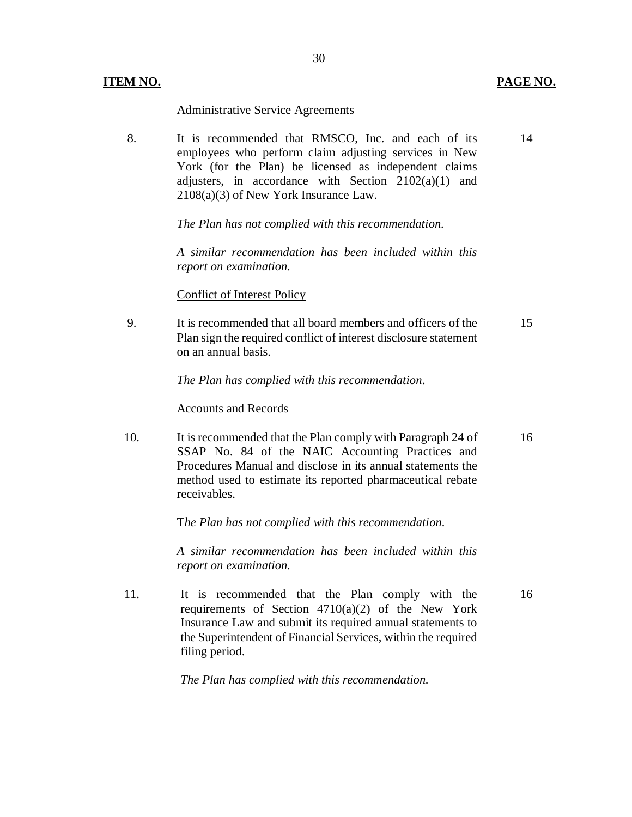## Administrative Service Agreements

8. employees who perform claim adjusting services in New York (for the Plan) be licensed as independent claims adjusters, in accordance with Section 2102(a)(1) and 2108(a)(3) of New York Insurance Law. It is recommended that RMSCO, Inc. and each of its

30

 *The Plan has not complied with this recommendation.* 

 *A similar recommendation has been included within this report on examination.* 

### Conflict of Interest Policy

9. Plan sign the required conflict of interest disclosure statement on an annual basis. It is recommended that all board members and officers of the 15

 *The Plan has complied with this recommendation*.

#### Accounts and Records

10. SSAP No. 84 of the NAIC Accounting Practices and Procedures Manual and disclose in its annual statements the method used to estimate its reported pharmaceutical rebate It is recommended that the Plan comply with Paragraph 24 of receivables. 16

 T*he Plan has not complied with this recommendation.* 

 *A similar recommendation has been included within this report on examination.* 

 $11<sub>1</sub>$  requirements of Section 4710(a)(2) of the New York Insurance Law and submit its required annual statements to the Superintendent of Financial Services, within the required It is recommended that the Plan comply with the filing period.

 *The Plan has complied with this recommendation.* 

14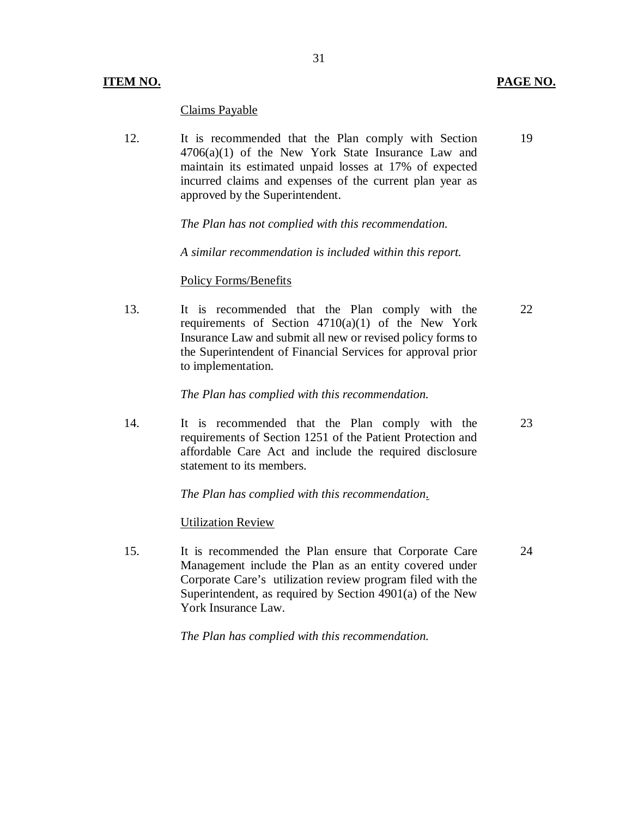## **ITEM NO. PAGE NO. PAGE NO.**

## Claims Payable

 $12.$  $4706(a)(1)$  of the New York State Insurance Law and maintain its estimated unpaid losses at 17% of expected incurred claims and expenses of the current plan year as approved by the Superintendent. It is recommended that the Plan comply with Section

 *The Plan has not complied with this recommendation.* 

 *A similar recommendation is included within this report.* 

## Policy Forms/Benefits

13. requirements of Section 4710(a)(1) of the New York Insurance Law and submit all new or revised policy forms to the Superintendent of Financial Services for approval prior It is recommended that the Plan comply with the to implementation.

 *The Plan has complied with this recommendation.* 

 $14.$  requirements of Section 1251 of the Patient Protection and affordable Care Act and include the required disclosure statement to its members. It is recommended that the Plan comply with the

 *The Plan has complied with this recommendation.* 

## Utilization Review

15. Management include the Plan as an entity covered under Corporate Care's utilization review program filed with the Superintendent, as required by Section 4901(a) of the New York Insurance Law. It is recommended the Plan ensure that Corporate Care 24

 *The Plan has complied with this recommendation.* 

19

23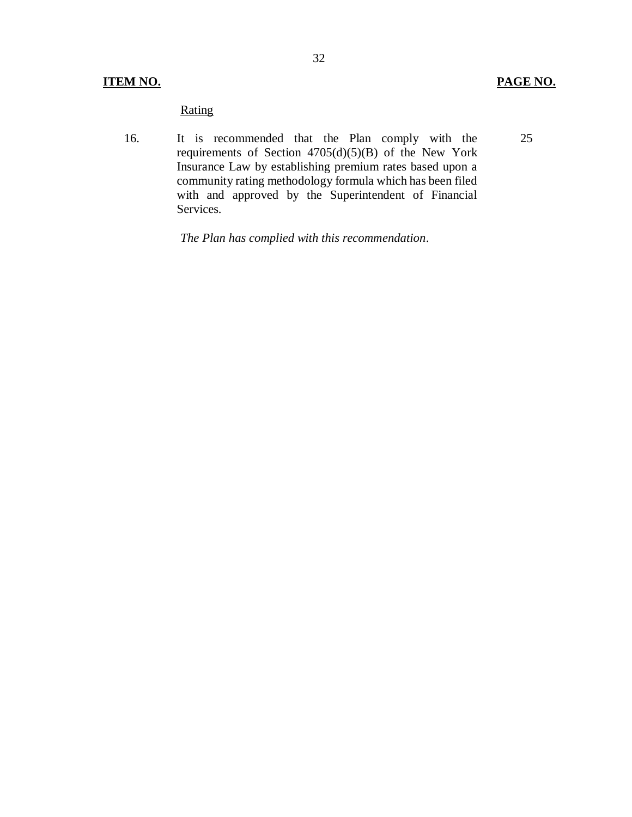25

16. requirements of Section  $4705(d)(5)(B)$  of the New York Insurance Law by establishing premium rates based upon a community rating methodology formula which has been filed with and approved by the Superintendent of Financial Rating<br>
16. It is recommended that the Plan comply with the Services.

 *The Plan has complied with this recommendation*.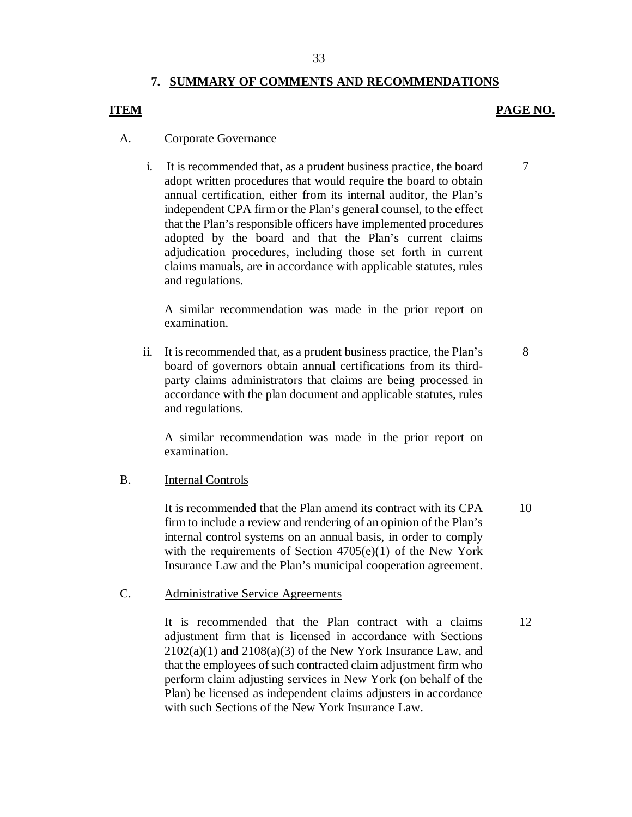## **7. SUMMARY OF COMMENTS AND RECOMMENDATIONS**

## **ITEM** PAGE NO.

7

8

## A. Corporate Governance

 i. It is recommended that, as a prudent business practice, the board adopt written procedures that would require the board to obtain annual certification, either from its internal auditor, the Plan's independent CPA firm or the Plan's general counsel, to the effect that the Plan's responsible officers have implemented procedures adopted by the board and that the Plan's current claims adjudication procedures, including those set forth in current claims manuals, are in accordance with applicable statutes, rules and regulations.

 A similar recommendation was made in the prior report on examination.

 ii. It is recommended that, as a prudent business practice, the Plan's board of governors obtain annual certifications from its third- party claims administrators that claims are being processed in accordance with the plan document and applicable statutes, rules and regulations.

 A similar recommendation was made in the prior report on examination.

## B. **Internal Controls**

 It is recommended that the Plan amend its contract with its CPA firm to include a review and rendering of an opinion of the Plan's internal control systems on an annual basis, in order to comply with the requirements of Section 4705(e)(1) of the New York Insurance Law and the Plan's municipal cooperation agreement. 10

### C. Administrative Service Agreements

 It is recommended that the Plan contract with a claims adjustment firm that is licensed in accordance with Sections  $2102(a)(1)$  and  $2108(a)(3)$  of the New York Insurance Law, and that the employees of such contracted claim adjustment firm who perform claim adjusting services in New York (on behalf of the Plan) be licensed as independent claims adjusters in accordance with such Sections of the New York Insurance Law. 12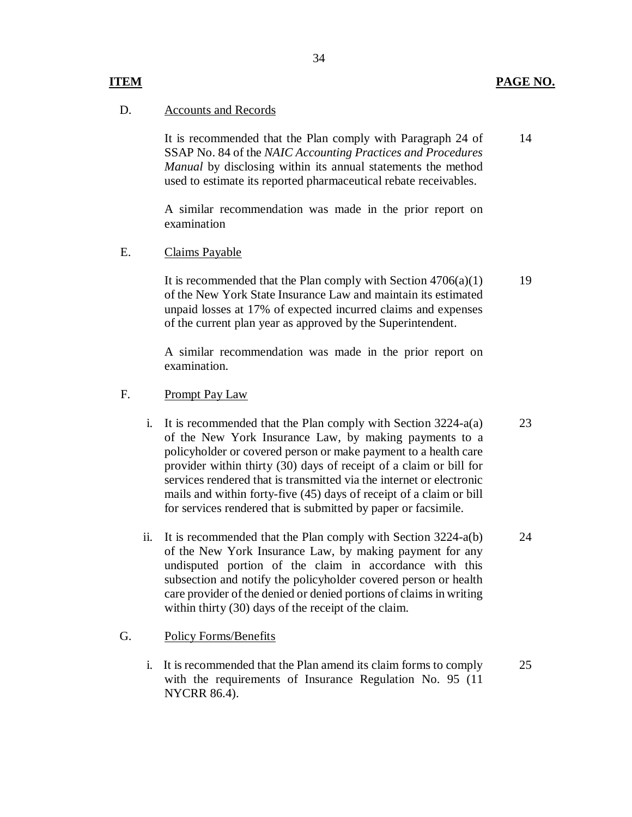## **ITEM**

34

### **PAGE NO.**

### D. Accounts and Records

 It is recommended that the Plan comply with Paragraph 24 of SSAP No. 84 of the *NAIC Accounting Practices and Procedures Manual* by disclosing within its annual statements the method used to estimate its reported pharmaceutical rebate receivables. 14

 A similar recommendation was made in the prior report on examination

E. Claims Payable

 It is recommended that the Plan comply with Section 4706(a)(1) of the New York State Insurance Law and maintain its estimated unpaid losses at 17% of expected incurred claims and expenses of the current plan year as approved by the Superintendent.

 A similar recommendation was made in the prior report on examination.

- F. Prompt Pay Law
	- i. It is recommended that the Plan comply with Section 3224-a(a) of the New York Insurance Law, by making payments to a policyholder or covered person or make payment to a health care provider within thirty (30) days of receipt of a claim or bill for services rendered that is transmitted via the internet or electronic mails and within forty-five (45) days of receipt of a claim or bill for services rendered that is submitted by paper or facsimile. 23
	- ii. It is recommended that the Plan comply with Section 3224-a(b) of the New York Insurance Law, by making payment for any undisputed portion of the claim in accordance with this subsection and notify the policyholder covered person or health care provider of the denied or denied portions of claims in writing within thirty (30) days of the receipt of the claim. 24

#### G. Policy Forms/Benefits

 i. It is recommended that the Plan amend its claim forms to comply with the requirements of Insurance Regulation No. 95 (11 NYCRR 86.4). 25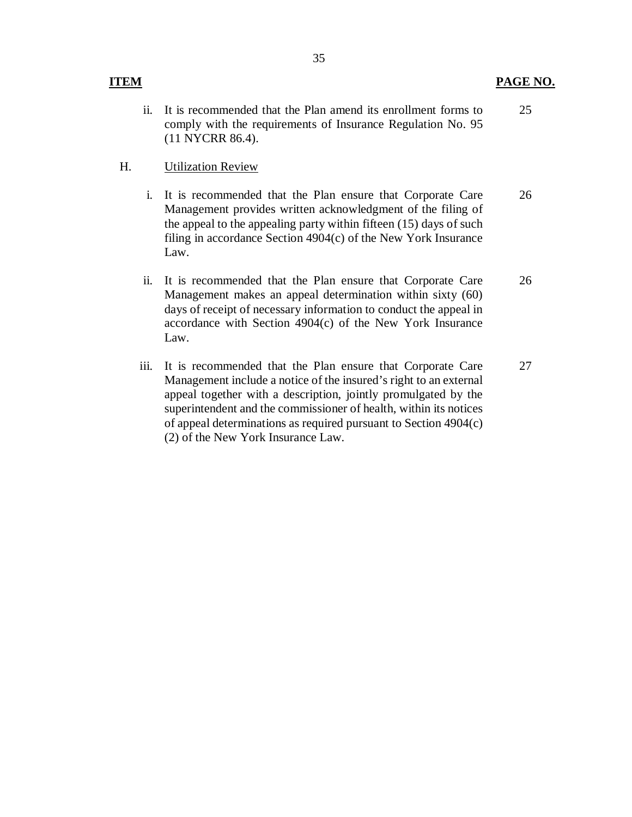ii. It is recommended that the Plan amend its enrollment forms to comply with the requirements of Insurance Regulation No. 95 (11 NYCRR 86.4). 25

## H. Utilization Review

- i. It is recommended that the Plan ensure that Corporate Care Management provides written acknowledgment of the filing of the appeal to the appealing party within fifteen (15) days of such filing in accordance Section 4904(c) of the New York Insurance Law. 26
- ii. It is recommended that the Plan ensure that Corporate Care Management makes an appeal determination within sixty (60) days of receipt of necessary information to conduct the appeal in accordance with Section 4904(c) of the New York Insurance Law. It is recommended that the Plan ensure that Corporate Care 26<br>Management makes an appeal determination within sixty (60)<br>days of receipt of necessary information to conduct the appeal in<br>accordance with Section 4904(c) of
- iii. It is recommended that the Plan ensure that Corporate Care Management include a notice of the insured's right to an external appeal together with a description, jointly promulgated by the superintendent and the commissioner of health, within its notices of appeal determinations as required pursuant to Section 4904(c) (2) of the New York Insurance Law. 27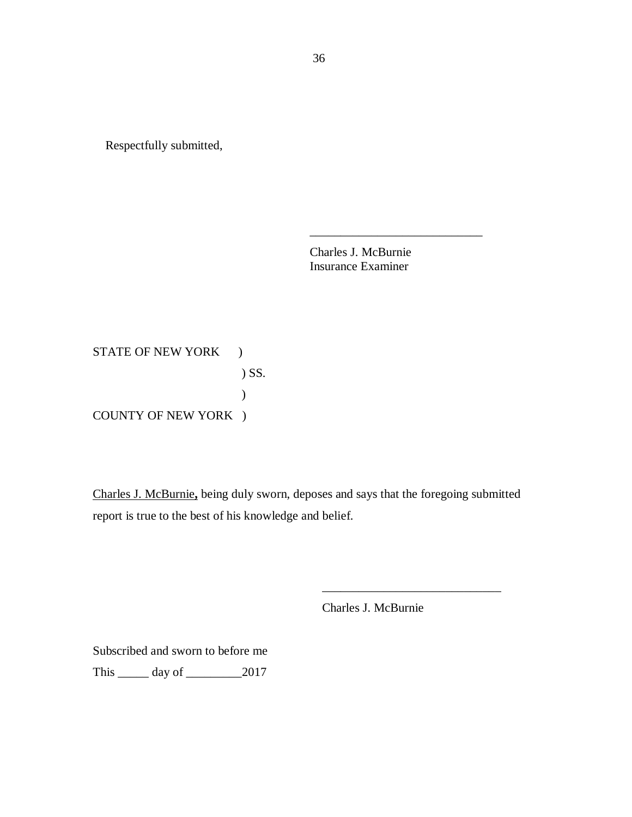Respectfully submitted,

Charles J. McBurnie Insurance Examiner

\_\_\_\_\_\_\_\_\_\_\_\_\_\_\_\_\_\_\_\_\_\_\_\_\_\_\_\_

STATE OF NEW YORK ) COUNTY OF NEW YORK ) ) SS. )

 Charles J. McBurnie**,** being duly sworn, deposes and says that the foregoing submitted report is true to the best of his knowledge and belief.

Charles J. McBurnie

\_\_\_\_\_\_\_\_\_\_\_\_\_\_\_\_\_\_\_\_\_\_\_\_\_\_\_\_\_

 Subscribed and sworn to before me This \_\_\_\_\_ day of \_\_\_\_\_\_\_\_\_2017